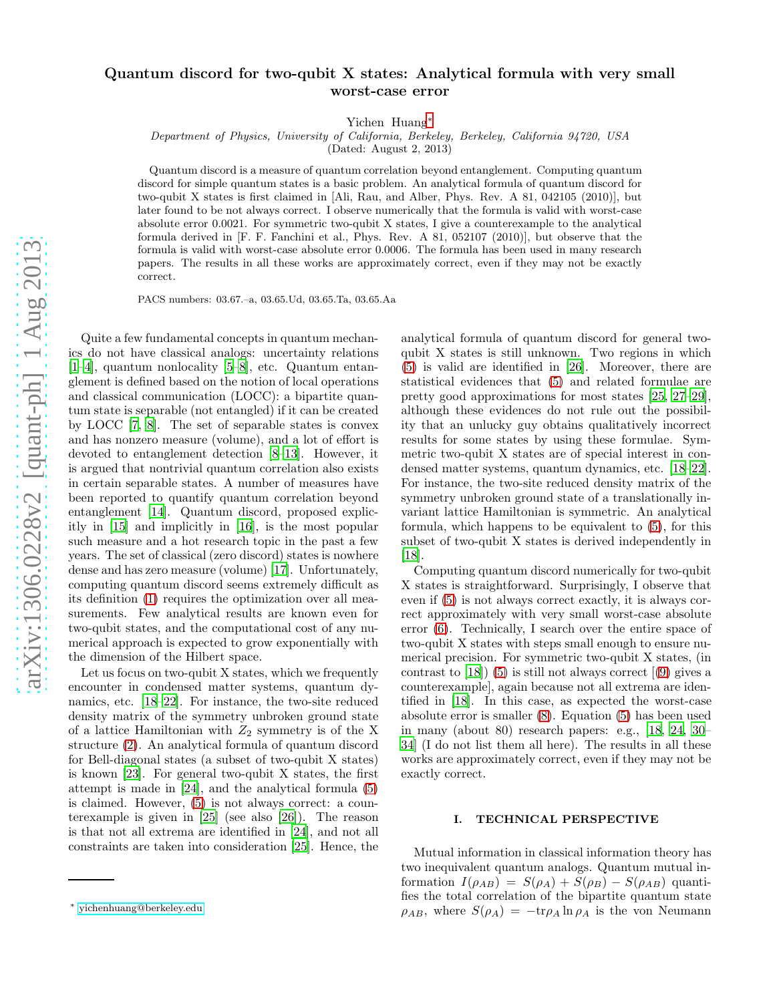## Quantum discord for two-qubit X states: Analytical formula with very small worst-case error

Yichen Huang[∗](#page-0-0)

Department of Physics, University of California, Berkeley, Berkeley, California 94720, USA

(Dated: August 2, 2013)

Quantum discord is a measure of quantum correlation beyond entanglement. Computing quantum discord for simple quantum states is a basic problem. An analytical formula of quantum discord for two-qubit X states is first claimed in [Ali, Rau, and Alber, Phys. Rev. A 81, 042105 (2010)], but later found to be not always correct. I observe numerically that the formula is valid with worst-case absolute error 0.0021. For symmetric two-qubit X states, I give a counterexample to the analytical formula derived in [F. F. Fanchini et al., Phys. Rev. A 81, 052107 (2010)], but observe that the formula is valid with worst-case absolute error 0.0006. The formula has been used in many research papers. The results in all these works are approximately correct, even if they may not be exactly correct.

PACS numbers: 03.67.–a, 03.65.Ud, 03.65.Ta, 03.65.Aa

Quite a few fundamental concepts in quantum mechanics do not have classical analogs: uncertainty relations [\[1](#page-2-0)[–4\]](#page-2-1), quantum nonlocality [\[5](#page-2-2)[–8](#page-2-3)], etc. Quantum entanglement is defined based on the notion of local operations and classical communication (LOCC): a bipartite quantum state is separable (not entangled) if it can be created by LOCC [\[7](#page-2-4), [8](#page-2-3)]. The set of separable states is convex and has nonzero measure (volume), and a lot of effort is devoted to entanglement detection [\[8](#page-2-3)[–13\]](#page-2-5). However, it is argued that nontrivial quantum correlation also exists in certain separable states. A number of measures have been reported to quantify quantum correlation beyond entanglement [\[14](#page-2-6)]. Quantum discord, proposed explicitly in [\[15](#page-2-7)] and implicitly in [\[16](#page-2-8)], is the most popular such measure and a hot research topic in the past a few years. The set of classical (zero discord) states is nowhere dense and has zero measure (volume) [\[17](#page-2-9)]. Unfortunately, computing quantum discord seems extremely difficult as its definition [\(1\)](#page-1-0) requires the optimization over all measurements. Few analytical results are known even for two-qubit states, and the computational cost of any numerical approach is expected to grow exponentially with the dimension of the Hilbert space.

Let us focus on two-qubit X states, which we frequently encounter in condensed matter systems, quantum dynamics, etc. [\[18](#page-2-10)[–22](#page-2-11)]. For instance, the two-site reduced density matrix of the symmetry unbroken ground state of a lattice Hamiltonian with  $Z_2$  symmetry is of the X structure [\(2\)](#page-1-1). An analytical formula of quantum discord for Bell-diagonal states (a subset of two-qubit X states) is known [\[23\]](#page-2-12). For general two-qubit X states, the first attempt is made in [\[24\]](#page-2-13), and the analytical formula [\(5\)](#page-1-2) is claimed. However, [\(5\)](#page-1-2) is not always correct: a counterexample is given in [\[25](#page-2-14)] (see also [\[26\]](#page-2-15)). The reason is that not all extrema are identified in [\[24\]](#page-2-13), and not all constraints are taken into consideration [\[25\]](#page-2-14). Hence, the analytical formula of quantum discord for general twoqubit X states is still unknown. Two regions in which [\(5\)](#page-1-2) is valid are identified in [\[26\]](#page-2-15). Moreover, there are statistical evidences that [\(5\)](#page-1-2) and related formulae are pretty good approximations for most states [\[25](#page-2-14), [27](#page-2-16)[–29\]](#page-2-17), although these evidences do not rule out the possibility that an unlucky guy obtains qualitatively incorrect results for some states by using these formulae. Symmetric two-qubit X states are of special interest in condensed matter systems, quantum dynamics, etc. [\[18](#page-2-10)[–22\]](#page-2-11). For instance, the two-site reduced density matrix of the symmetry unbroken ground state of a translationally invariant lattice Hamiltonian is symmetric. An analytical formula, which happens to be equivalent to [\(5\)](#page-1-2), for this subset of two-qubit X states is derived independently in [\[18\]](#page-2-10).

Computing quantum discord numerically for two-qubit X states is straightforward. Surprisingly, I observe that even if [\(5\)](#page-1-2) is not always correct exactly, it is always correct approximately with very small worst-case absolute error [\(6\)](#page-1-3). Technically, I search over the entire space of two-qubit X states with steps small enough to ensure numerical precision. For symmetric two-qubit X states, (in contrast to  $[18]$  [\(5\)](#page-1-2) is still not always correct  $[9]$  gives a counterexample], again because not all extrema are identified in [\[18](#page-2-10)]. In this case, as expected the worst-case absolute error is smaller [\(8\)](#page-1-4). Equation [\(5\)](#page-1-2) has been used in many (about 80) research papers: e.g., [\[18,](#page-2-10) [24,](#page-2-13) [30](#page-2-19)– [34](#page-2-20)] (I do not list them all here). The results in all these works are approximately correct, even if they may not be exactly correct.

## I. TECHNICAL PERSPECTIVE

Mutual information in classical information theory has two inequivalent quantum analogs. Quantum mutual information  $I(\rho_{AB}) = S(\rho_A) + S(\rho_B) - S(\rho_{AB})$  quantifies the total correlation of the bipartite quantum state  $\rho_{AB}$ , where  $S(\rho_A) = -\text{tr}\rho_A \ln \rho_A$  is the von Neumann

<span id="page-0-0"></span><sup>∗</sup> [yichenhuang@berkeley.edu](mailto:yichenhuang@berkeley.edu)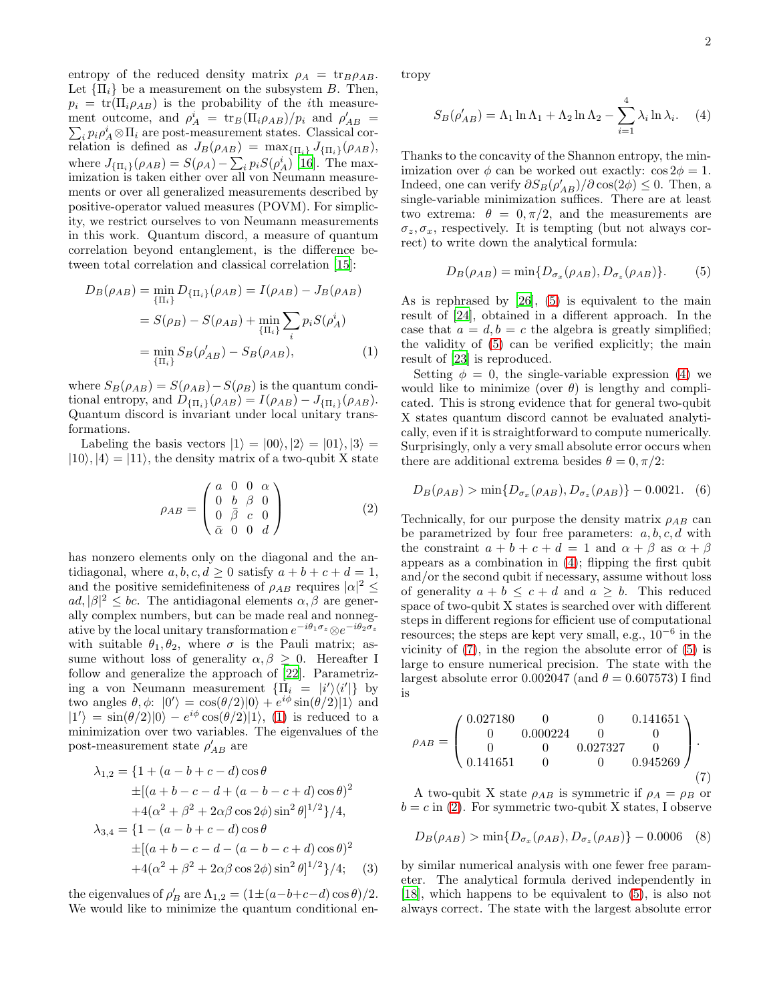entropy of the reduced density matrix  $\rho_A = \text{tr}_B \rho_{AB}$ . Let  ${\{\Pi_i\}}$  be a measurement on the subsystem B. Then,  $p_i = \text{tr}(\Pi_i \rho_{AB})$  is the probability of the *i*th measurement outcome, and  $\rho_A^i = \text{tr}_B(\Pi_i \rho_{AB})/p_i$  and  $\rho'_{AB} =$  $\sum_i p_i \rho_A^i \otimes \Pi_i$  are post-measurement states. Classical correlation is defined as  $J_B(\rho_{AB}) = \max_{\{\Pi_i\}} J_{\{\Pi_i\}}(\rho_{AB}),$ where  $J_{\{\Pi_i\}}(\rho_{AB}) = S(\rho_A) - \sum_i p_i S(\rho_A^i)$  [\[16](#page-2-8)]. The maximization is taken either over all von Neumann measurements or over all generalized measurements described by positive-operator valued measures (POVM). For simplicity, we restrict ourselves to von Neumann measurements in this work. Quantum discord, a measure of quantum correlation beyond entanglement, is the difference between total correlation and classical correlation [\[15](#page-2-7)]:

<span id="page-1-0"></span>
$$
D_B(\rho_{AB}) = \min_{\{\Pi_i\}} D_{\{\Pi_i\}}(\rho_{AB}) = I(\rho_{AB}) - J_B(\rho_{AB})
$$
  
=  $S(\rho_B) - S(\rho_{AB}) + \min_{\{\Pi_i\}} \sum_i p_i S(\rho_A^i)$   
=  $\min_{\{\Pi_i\}} S_B(\rho'_{AB}) - S_B(\rho_{AB}),$  (1)

where  $S_B(\rho_{AB}) = S(\rho_{AB}) - S(\rho_B)$  is the quantum conditional entropy, and  $D_{\{\Pi_i\}}(\rho_{AB}) = I(\rho_{AB}) - J_{\{\Pi_i\}}(\rho_{AB}).$ Quantum discord is invariant under local unitary transformations.

Labeling the basis vectors  $|1\rangle = |00\rangle, |2\rangle = |01\rangle, |3\rangle =$  $|10\rangle, |4\rangle = |11\rangle$ , the density matrix of a two-qubit X state

<span id="page-1-1"></span>
$$
\rho_{AB} = \begin{pmatrix} a & 0 & 0 & \alpha \\ 0 & b & \beta & 0 \\ 0 & \bar{\beta} & c & 0 \\ \bar{\alpha} & 0 & 0 & d \end{pmatrix}
$$
 (2)

has nonzero elements only on the diagonal and the antidiagonal, where  $a, b, c, d \geq 0$  satisfy  $a + b + c + d = 1$ , and the positive semidefiniteness of  $\rho_{AB}$  requires  $|\alpha|^2 \leq$  $ad, |\beta|^2 \leq bc$ . The antidiagonal elements  $\alpha, \beta$  are generally complex numbers, but can be made real and nonnegative by the local unitary transformation  $e^{-i\theta_1\sigma_z}\otimes e^{-i\theta_2\sigma_z}$ with suitable  $\theta_1, \theta_2$ , where  $\sigma$  is the Pauli matrix; assume without loss of generality  $\alpha, \beta \geq 0$ . Hereafter I follow and generalize the approach of [\[22\]](#page-2-11). Parametrizing a von Neumann measurement  $\{\Pi_i = |i'\rangle\langle i'|\}$  by two angles  $\theta, \phi: |0'\rangle = \cos(\theta/2)|0\rangle + e^{i\phi}\sin(\theta/2)|1\rangle$  and  $|1'\rangle = \sin(\theta/2)|0\rangle - e^{i\phi}\cos(\theta/2)|1\rangle$ , [\(1\)](#page-1-0) is reduced to a minimization over two variables. The eigenvalues of the post-measurement state  $\rho'_{AB}$  are

$$
\lambda_{1,2} = \{1 + (a - b + c - d)\cos\theta
$$
  
\n
$$
\pm[(a + b - c - d + (a - b - c + d)\cos\theta)^2
$$
  
\n
$$
+4(\alpha^2 + \beta^2 + 2\alpha\beta\cos 2\phi)\sin^2\theta]^{1/2}\}/4,
$$
  
\n
$$
\lambda_{3,4} = \{1 - (a - b + c - d)\cos\theta
$$
  
\n
$$
\pm[(a + b - c - d - (a - b - c + d)\cos\theta)^2
$$
  
\n
$$
+4(\alpha^2 + \beta^2 + 2\alpha\beta\cos 2\phi)\sin^2\theta]^{1/2}\}/4;
$$
 (3)

the eigenvalues of  $\rho'_B$  are  $\Lambda_{1,2} = (1 \pm (a - b + c - d) \cos \theta)/2$ . We would like to minimize the quantum conditional entropy

<span id="page-1-5"></span>
$$
S_B(\rho'_{AB}) = \Lambda_1 \ln \Lambda_1 + \Lambda_2 \ln \Lambda_2 - \sum_{i=1}^4 \lambda_i \ln \lambda_i.
$$
 (4)

Thanks to the concavity of the Shannon entropy, the minimization over  $\phi$  can be worked out exactly:  $\cos 2\phi = 1$ . Indeed, one can verify  $\partial S_B(\rho'_{AB})/\partial \cos(2\phi) \leq 0$ . Then, a single-variable minimization suffices. There are at least two extrema:  $\theta = 0, \pi/2$ , and the measurements are  $\sigma_z, \sigma_x$ , respectively. It is tempting (but not always correct) to write down the analytical formula:

<span id="page-1-2"></span>
$$
D_B(\rho_{AB}) = \min\{D_{\sigma_x}(\rho_{AB}), D_{\sigma_z}(\rho_{AB})\}.
$$
 (5)

As is rephrased by [\[26\]](#page-2-15), [\(5\)](#page-1-2) is equivalent to the main result of [\[24\]](#page-2-13), obtained in a different approach. In the case that  $a = d, b = c$  the algebra is greatly simplified; the validity of [\(5\)](#page-1-2) can be verified explicitly; the main result of [\[23\]](#page-2-12) is reproduced.

Setting  $\phi = 0$ , the single-variable expression [\(4\)](#page-1-5) we would like to minimize (over  $\theta$ ) is lengthy and complicated. This is strong evidence that for general two-qubit X states quantum discord cannot be evaluated analytically, even if it is straightforward to compute numerically. Surprisingly, only a very small absolute error occurs when there are additional extrema besides  $\theta = 0, \pi/2$ :

<span id="page-1-3"></span>
$$
D_B(\rho_{AB}) > \min\{D_{\sigma_x}(\rho_{AB}), D_{\sigma_z}(\rho_{AB})\} - 0.0021. (6)
$$

Technically, for our purpose the density matrix  $\rho_{AB}$  can be parametrized by four free parameters:  $a, b, c, d$  with the constraint  $a + b + c + d = 1$  and  $\alpha + \beta$  as  $\alpha + \beta$ appears as a combination in  $(4)$ ; flipping the first qubit and/or the second qubit if necessary, assume without loss of generality  $a + b \leq c + d$  and  $a \geq b$ . This reduced space of two-qubit X states is searched over with different steps in different regions for efficient use of computational resources; the steps are kept very small, e.g.,  $10^{-6}$  in the vicinity of [\(7\)](#page-1-6), in the region the absolute error of [\(5\)](#page-1-2) is large to ensure numerical precision. The state with the largest absolute error 0.002047 (and  $\theta = 0.607573$ ) I find is

<span id="page-1-6"></span>
$$
\rho_{AB} = \begin{pmatrix} 0.027180 & 0 & 0 & 0.141651 \\ 0 & 0.000224 & 0 & 0 \\ 0 & 0 & 0.027327 & 0 \\ 0.141651 & 0 & 0 & 0.945269 \end{pmatrix}.
$$
\n(7)

A two-qubit X state  $\rho_{AB}$  is symmetric if  $\rho_A = \rho_B$  or  $b = c$  in [\(2\)](#page-1-1). For symmetric two-qubit X states, I observe

<span id="page-1-4"></span>
$$
D_B(\rho_{AB}) > \min\{D_{\sigma_x}(\rho_{AB}), D_{\sigma_z}(\rho_{AB})\} - 0.0006 \quad (8)
$$

by similar numerical analysis with one fewer free parameter. The analytical formula derived independently in [\[18\]](#page-2-10), which happens to be equivalent to [\(5\)](#page-1-2), is also not always correct. The state with the largest absolute error